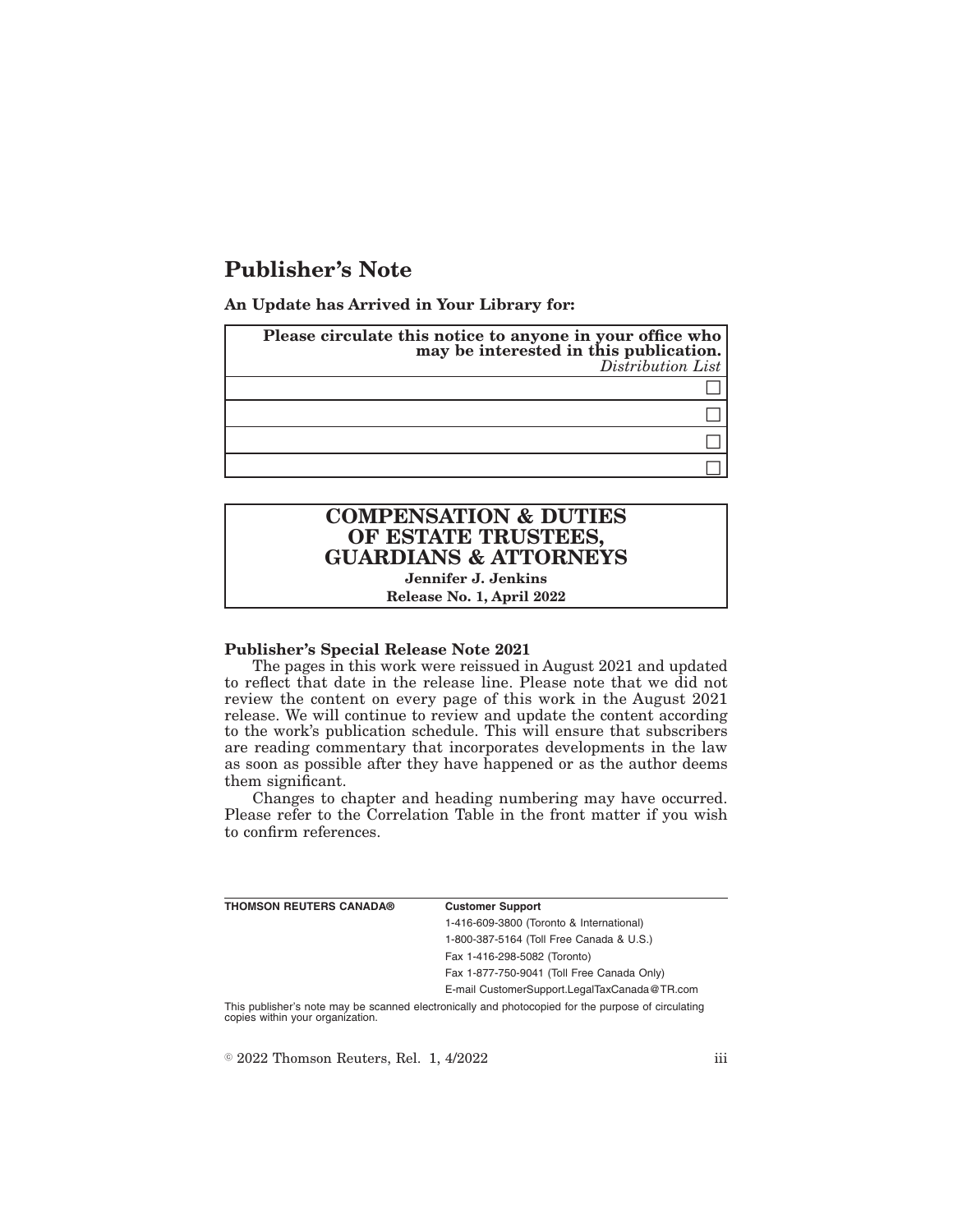# **Publisher's Note**

**An Update has Arrived in Your Library for:**

| Please circulate this notice to anyone in your office who<br>may be interested in this publication.<br>Distribution List |
|--------------------------------------------------------------------------------------------------------------------------|
|                                                                                                                          |
|                                                                                                                          |
|                                                                                                                          |
|                                                                                                                          |

## **COMPENSATION & DUTIES OF ESTATE TRUSTEES, GUARDIANS & ATTORNEYS**

**Jennifer J. Jenkins Release No. 1, April 2022**

#### **Publisher's Special Release Note 2021**

The pages in this work were reissued in August 2021 and updated to reflect that date in the release line. Please note that we did not review the content on every page of this work in the August 2021 release. We will continue to review and update the content according to the work's publication schedule. This will ensure that subscribers are reading commentary that incorporates developments in the law as soon as possible after they have happened or as the author deems them significant.

Changes to chapter and heading numbering may have occurred. Please refer to the Correlation Table in the front matter if you wish to confirm references.

| <b>THOMSON REUTERS CANADA®</b> | <b>Customer Support</b>                                                                            |
|--------------------------------|----------------------------------------------------------------------------------------------------|
|                                | 1-416-609-3800 (Toronto & International)                                                           |
|                                | 1-800-387-5164 (Toll Free Canada & U.S.)                                                           |
|                                | Fax 1-416-298-5082 (Toronto)                                                                       |
|                                | Fax 1-877-750-9041 (Toll Free Canada Only)                                                         |
|                                | E-mail CustomerSupport.LegalTaxCanada@TR.com                                                       |
|                                | This nublisher's note may be scanned electronically and photoconied for the nurnose of circulating |

This publisher's note may be scanned electronically and photocopied for the purpose of circulating copies within your organization.

 $\textdegree$  2022 Thomson Reuters, Rel. 1, 4/2022 iii